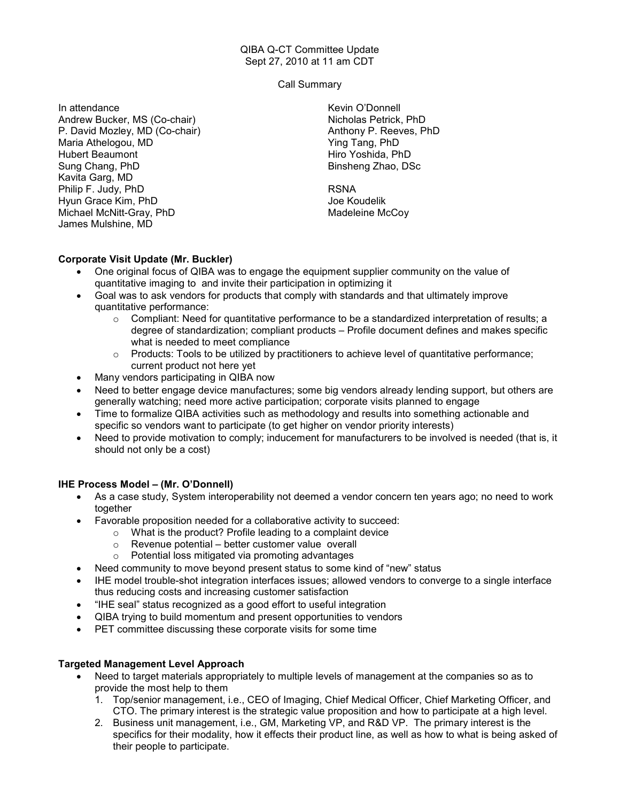### QIBA Q-CT Committee Update Sept 27, 2010 at 11 am CDT

Call Summary

In attendance Andrew Bucker, MS (Co-chair) P. David Mozley, MD (Co-chair) Maria Athelogou, MD Hubert Beaumont Sung Chang, PhD Kavita Garg, MD Philip F. Judy, PhD Hyun Grace Kim, PhD Michael McNitt-Gray, PhD James Mulshine, MD

Kevin O'Donnell Nicholas Petrick, PhD Anthony P. Reeves, PhD Ying Tang, PhD Hiro Yoshida, PhD Binsheng Zhao, DSc

RSNA Joe Koudelik Madeleine McCoy

# Corporate Visit Update (Mr. Buckler)

- One original focus of QIBA was to engage the equipment supplier community on the value of quantitative imaging to and invite their participation in optimizing it
- Goal was to ask vendors for products that comply with standards and that ultimately improve quantitative performance:
	- $\circ$  Compliant: Need for quantitative performance to be a standardized interpretation of results; a degree of standardization; compliant products – Profile document defines and makes specific what is needed to meet compliance
	- $\circ$  Products: Tools to be utilized by practitioners to achieve level of quantitative performance; current product not here yet
- Many vendors participating in QIBA now
- Need to better engage device manufactures; some big vendors already lending support, but others are generally watching; need more active participation; corporate visits planned to engage
- Time to formalize QIBA activities such as methodology and results into something actionable and specific so vendors want to participate (to get higher on vendor priority interests)
- Need to provide motivation to comply; inducement for manufacturers to be involved is needed (that is, it should not only be a cost)

## IHE Process Model – (Mr. O'Donnell)

- As a case study, System interoperability not deemed a vendor concern ten years ago; no need to work together
- Favorable proposition needed for a collaborative activity to succeed:
	- o What is the product? Profile leading to a complaint device
	- o Revenue potential better customer value overall
	- o Potential loss mitigated via promoting advantages
- Need community to move beyond present status to some kind of "new" status
- IHE model trouble-shot integration interfaces issues; allowed vendors to converge to a single interface thus reducing costs and increasing customer satisfaction
- "IHE seal" status recognized as a good effort to useful integration
- QIBA trying to build momentum and present opportunities to vendors
- PET committee discussing these corporate visits for some time

## Targeted Management Level Approach

- Need to target materials appropriately to multiple levels of management at the companies so as to provide the most help to them
	- 1. Top/senior management, i.e., CEO of Imaging, Chief Medical Officer, Chief Marketing Officer, and CTO. The primary interest is the strategic value proposition and how to participate at a high level.
	- 2. Business unit management, i.e., GM, Marketing VP, and R&D VP. The primary interest is the specifics for their modality, how it effects their product line, as well as how to what is being asked of their people to participate.